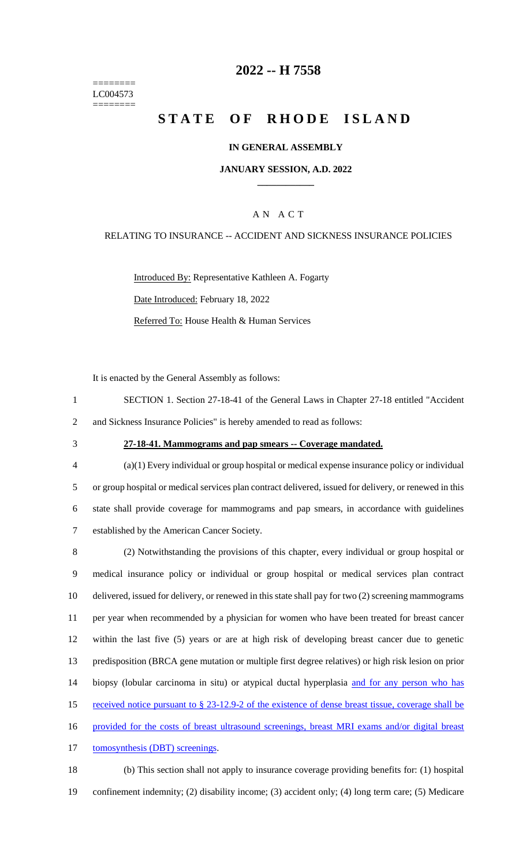======== LC004573 ========

# **2022 -- H 7558**

# **STATE OF RHODE ISLAND**

### **IN GENERAL ASSEMBLY**

### **JANUARY SESSION, A.D. 2022 \_\_\_\_\_\_\_\_\_\_\_\_**

# A N A C T

### RELATING TO INSURANCE -- ACCIDENT AND SICKNESS INSURANCE POLICIES

Introduced By: Representative Kathleen A. Fogarty Date Introduced: February 18, 2022 Referred To: House Health & Human Services

It is enacted by the General Assembly as follows:

- 1 SECTION 1. Section 27-18-41 of the General Laws in Chapter 27-18 entitled "Accident 2 and Sickness Insurance Policies" is hereby amended to read as follows:
- 

### 3 **27-18-41. Mammograms and pap smears -- Coverage mandated.**

- 4 (a)(1) Every individual or group hospital or medical expense insurance policy or individual 5 or group hospital or medical services plan contract delivered, issued for delivery, or renewed in this 6 state shall provide coverage for mammograms and pap smears, in accordance with guidelines 7 established by the American Cancer Society.
- 8 (2) Notwithstanding the provisions of this chapter, every individual or group hospital or 9 medical insurance policy or individual or group hospital or medical services plan contract 10 delivered, issued for delivery, or renewed in this state shall pay for two (2) screening mammograms 11 per year when recommended by a physician for women who have been treated for breast cancer 12 within the last five (5) years or are at high risk of developing breast cancer due to genetic 13 predisposition (BRCA gene mutation or multiple first degree relatives) or high risk lesion on prior 14 biopsy (lobular carcinoma in situ) or atypical ductal hyperplasia and for any person who has 15 received notice pursuant to § 23-12.9-2 of the existence of dense breast tissue, coverage shall be 16 provided for the costs of breast ultrasound screenings, breast MRI exams and/or digital breast 17 tomosynthesis (DBT) screenings.
- 18 (b) This section shall not apply to insurance coverage providing benefits for: (1) hospital 19 confinement indemnity; (2) disability income; (3) accident only; (4) long term care; (5) Medicare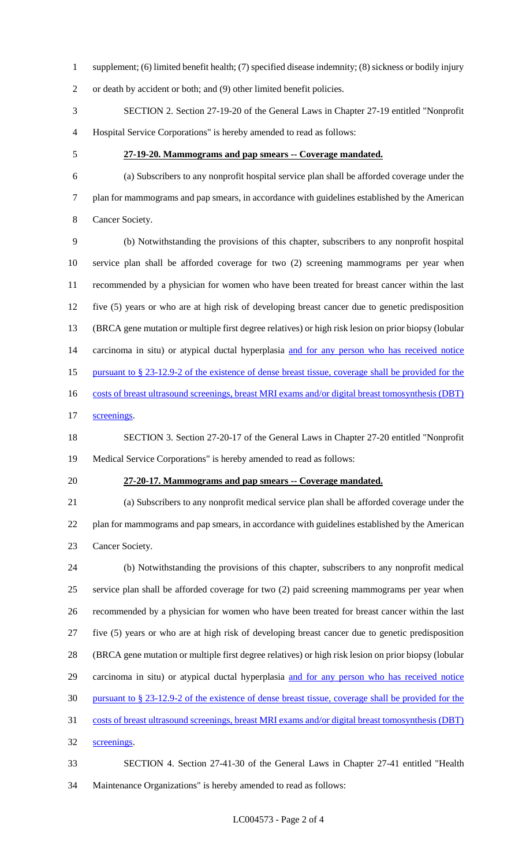supplement; (6) limited benefit health; (7) specified disease indemnity; (8) sickness or bodily injury

or death by accident or both; and (9) other limited benefit policies.

 SECTION 2. Section 27-19-20 of the General Laws in Chapter 27-19 entitled "Nonprofit Hospital Service Corporations" is hereby amended to read as follows:

### **27-19-20. Mammograms and pap smears -- Coverage mandated.**

 (a) Subscribers to any nonprofit hospital service plan shall be afforded coverage under the plan for mammograms and pap smears, in accordance with guidelines established by the American Cancer Society.

 (b) Notwithstanding the provisions of this chapter, subscribers to any nonprofit hospital service plan shall be afforded coverage for two (2) screening mammograms per year when recommended by a physician for women who have been treated for breast cancer within the last five (5) years or who are at high risk of developing breast cancer due to genetic predisposition (BRCA gene mutation or multiple first degree relatives) or high risk lesion on prior biopsy (lobular 14 carcinoma in situ) or atypical ductal hyperplasia and for any person who has received notice pursuant to § 23-12.9-2 of the existence of dense breast tissue, coverage shall be provided for the 16 costs of breast ultrasound screenings, breast MRI exams and/or digital breast tomosynthesis (DBT)

screenings.

 SECTION 3. Section 27-20-17 of the General Laws in Chapter 27-20 entitled "Nonprofit Medical Service Corporations" is hereby amended to read as follows:

#### **27-20-17. Mammograms and pap smears -- Coverage mandated.**

 (a) Subscribers to any nonprofit medical service plan shall be afforded coverage under the plan for mammograms and pap smears, in accordance with guidelines established by the American Cancer Society.

 (b) Notwithstanding the provisions of this chapter, subscribers to any nonprofit medical service plan shall be afforded coverage for two (2) paid screening mammograms per year when recommended by a physician for women who have been treated for breast cancer within the last five (5) years or who are at high risk of developing breast cancer due to genetic predisposition (BRCA gene mutation or multiple first degree relatives) or high risk lesion on prior biopsy (lobular carcinoma in situ) or atypical ductal hyperplasia and for any person who has received notice pursuant to § 23-12.9-2 of the existence of dense breast tissue, coverage shall be provided for the costs of breast ultrasound screenings, breast MRI exams and/or digital breast tomosynthesis (DBT) screenings.

 SECTION 4. Section 27-41-30 of the General Laws in Chapter 27-41 entitled "Health Maintenance Organizations" is hereby amended to read as follows: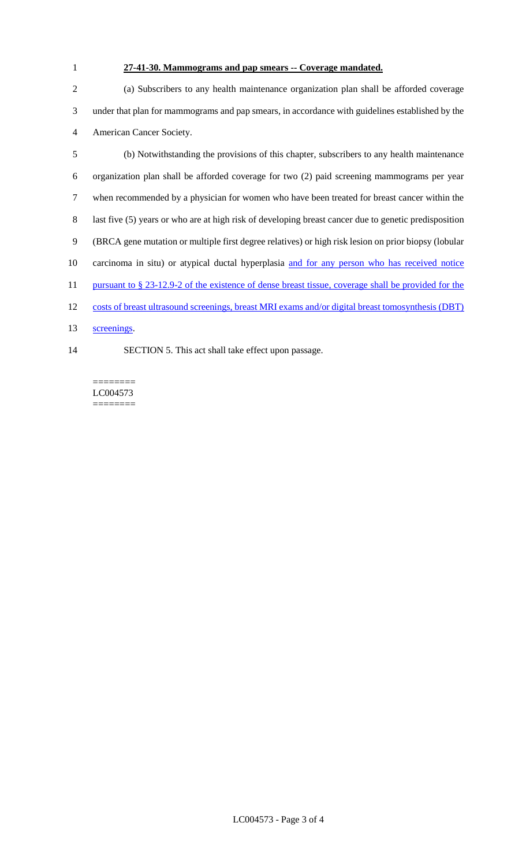# **27-41-30. Mammograms and pap smears -- Coverage mandated.**

 (a) Subscribers to any health maintenance organization plan shall be afforded coverage under that plan for mammograms and pap smears, in accordance with guidelines established by the American Cancer Society.

 (b) Notwithstanding the provisions of this chapter, subscribers to any health maintenance organization plan shall be afforded coverage for two (2) paid screening mammograms per year when recommended by a physician for women who have been treated for breast cancer within the last five (5) years or who are at high risk of developing breast cancer due to genetic predisposition (BRCA gene mutation or multiple first degree relatives) or high risk lesion on prior biopsy (lobular carcinoma in situ) or atypical ductal hyperplasia and for any person who has received notice 11 pursuant to § 23-12.9-2 of the existence of dense breast tissue, coverage shall be provided for the costs of breast ultrasound screenings, breast MRI exams and/or digital breast tomosynthesis (DBT) screenings.

SECTION 5. This act shall take effect upon passage.

======== LC004573 ========